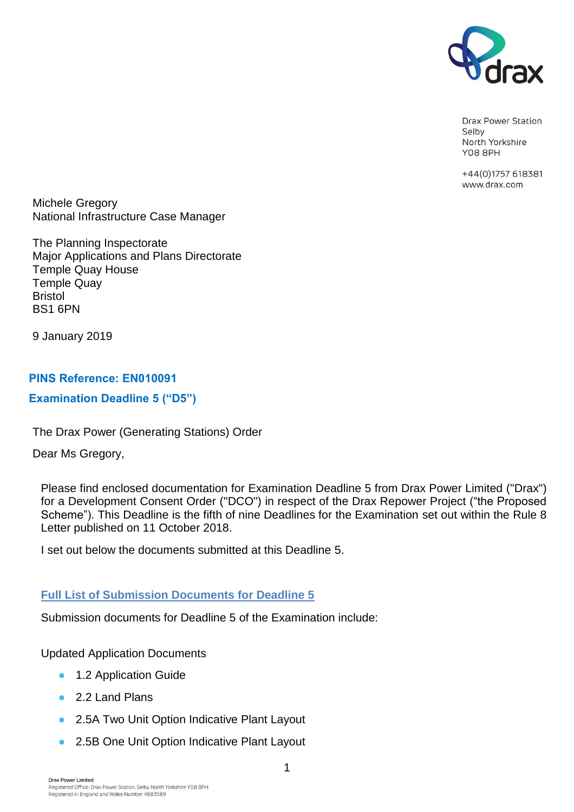

Drax Power Station Selby North Yorkshire **Y08 8PH** 

+44(0)1757 618381 www.drax.com

Michele Gregory National Infrastructure Case Manager

The Planning Inspectorate Major Applications and Plans Directorate Temple Quay House Temple Quay Bristol BS1 6PN

9 January 2019

# PINS Reference: EN010091

# Examination Deadline 5 ("D5")

The Drax Power (Generating Stations) Order

Dear Ms Gregory,

Please find enclosed documentation for Examination Deadline 5 from Drax Power Limited ("Drax") for a Development Consent Order ("DCO") in respect of the Drax Repower Project ("the Proposed Scheme"). This Deadline is the fifth of nine Deadlines for the Examination set out within the Rule 8 Letter published on 11 October 2018.

I set out below the documents submitted at this Deadline 5.

# **Full List of Submission Documents for Deadline 5**

Submission documents for Deadline 5 of the Examination include:

Updated Application Documents

- 1.2 Application Guide
- 2.2 Land Plans
- 2.5A Two Unit Option Indicative Plant Layout
- 2.5B One Unit Option Indicative Plant Layout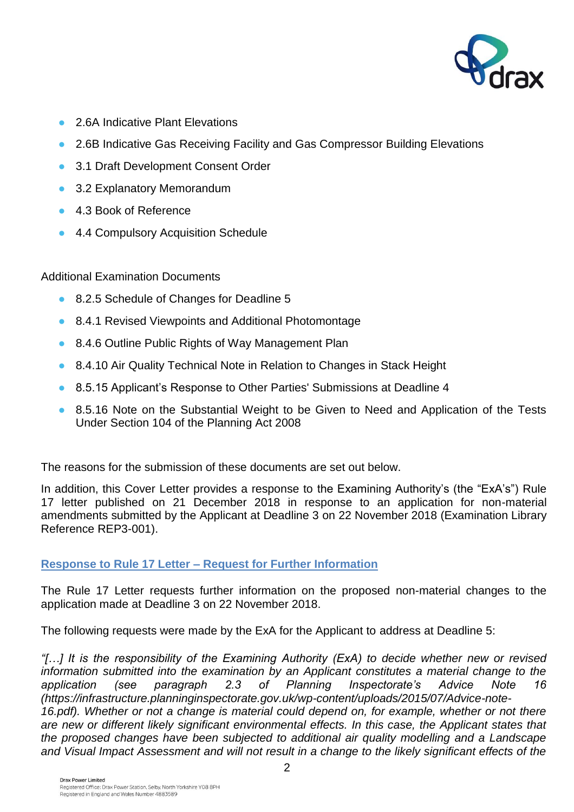

- 2.6A Indicative Plant Elevations
- 2.6B Indicative Gas Receiving Facility and Gas Compressor Building Elevations
- 3.1 Draft Development Consent Order
- 3.2 Explanatory Memorandum
- 4.3 Book of Reference
- 4.4 Compulsory Acquisition Schedule

Additional Examination Documents

- 8.2.5 Schedule of Changes for Deadline 5
- 8.4.1 Revised Viewpoints and Additional Photomontage
- 8.4.6 Outline Public Rights of Way Management Plan
- 8.4.10 Air Quality Technical Note in Relation to Changes in Stack Height
- 8.5.15 Applicant's Response to Other Parties' Submissions at Deadline 4
- 8.5.16 Note on the Substantial Weight to be Given to Need and Application of the Tests Under Section 104 of the Planning Act 2008

The reasons for the submission of these documents are set out below.

In addition, this Cover Letter provides a response to the Examining Authority's (the "ExA's") Rule 17 letter published on 21 December 2018 in response to an application for non-material amendments submitted by the Applicant at Deadline 3 on 22 November 2018 (Examination Library Reference REP3-001).

# **Response to Rule 17 Letter – Request for Further Information**

The Rule 17 Letter requests further information on the proposed non-material changes to the application made at Deadline 3 on 22 November 2018.

The following requests were made by the ExA for the Applicant to address at Deadline 5:

*"[…] It is the responsibility of the Examining Authority (ExA) to decide whether new or revised information submitted into the examination by an Applicant constitutes a material change to the application (see paragraph 2.3 of Planning Inspectorate's Advice Note 16 (https://infrastructure.planninginspectorate.gov.uk/wp-content/uploads/2015/07/Advice-note-*

16.pdf). Whether or not a change is material could depend on, for example, whether or not there *are new or different likely significant environmental effects. In this case, the Applicant states that the proposed changes have been subjected to additional air quality modelling and a Landscape and Visual Impact Assessment and will not result in a change to the likely significant effects of the*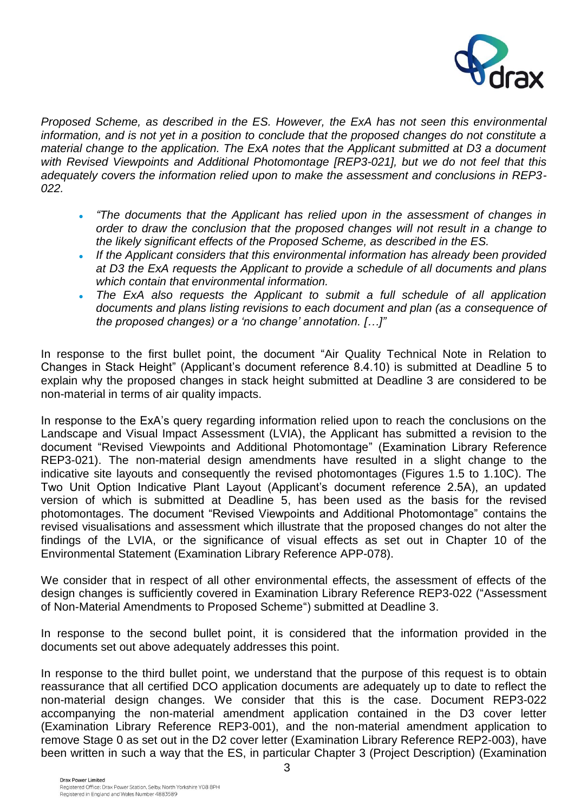

*Proposed Scheme, as described in the ES. However, the ExA has not seen this environmental*  information, and is not yet in a position to conclude that the proposed changes do not constitute a *material change to the application. The ExA notes that the Applicant submitted at D3 a document with Revised Viewpoints and Additional Photomontage [REP3-021], but we do not feel that this adequately covers the information relied upon to make the assessment and conclusions in REP3- 022.*

- "The documents that the Applicant has relied upon in the assessment of changes in *order to draw the conclusion that the proposed changes will not result in a change to the likely significant effects of the Proposed Scheme, as described in the ES.*
- *If the Applicant considers that this environmental information has already been provided at D3 the ExA requests the Applicant to provide a schedule of all documents and plans which contain that environmental information.*
- The ExA also requests the Applicant to submit a full schedule of all application *documents and plans listing revisions to each document and plan (as a consequence of the proposed changes) or a 'no change' annotation. […]"*

In response to the first bullet point, the document "Air Quality Technical Note in Relation to Changes in Stack Height" (Applicant's document reference 8.4.10) is submitted at Deadline 5 to explain why the proposed changes in stack height submitted at Deadline 3 are considered to be non-material in terms of air quality impacts.

In response to the ExA's query regarding information relied upon to reach the conclusions on the Landscape and Visual Impact Assessment (LVIA), the Applicant has submitted a revision to the document "Revised Viewpoints and Additional Photomontage" (Examination Library Reference REP3-021). The non-material design amendments have resulted in a slight change to the indicative site layouts and consequently the revised photomontages (Figures 1.5 to 1.10C). The Two Unit Option Indicative Plant Layout (Applicant's document reference 2.5A), an updated version of which is submitted at Deadline 5, has been used as the basis for the revised photomontages. The document "Revised Viewpoints and Additional Photomontage" contains the revised visualisations and assessment which illustrate that the proposed changes do not alter the findings of the LVIA, or the significance of visual effects as set out in Chapter 10 of the Environmental Statement (Examination Library Reference APP-078).

We consider that in respect of all other environmental effects, the assessment of effects of the design changes is sufficiently covered in Examination Library Reference REP3-022 ("Assessment of Non-Material Amendments to Proposed Scheme") submitted at Deadline 3.

In response to the second bullet point, it is considered that the information provided in the documents set out above adequately addresses this point.

In response to the third bullet point, we understand that the purpose of this request is to obtain reassurance that all certified DCO application documents are adequately up to date to reflect the non-material design changes. We consider that this is the case. Document REP3-022 accompanying the non-material amendment application contained in the D3 cover letter (Examination Library Reference REP3-001), and the non-material amendment application to remove Stage 0 as set out in the D2 cover letter (Examination Library Reference REP2-003), have been written in such a way that the ES, in particular Chapter 3 (Project Description) (Examination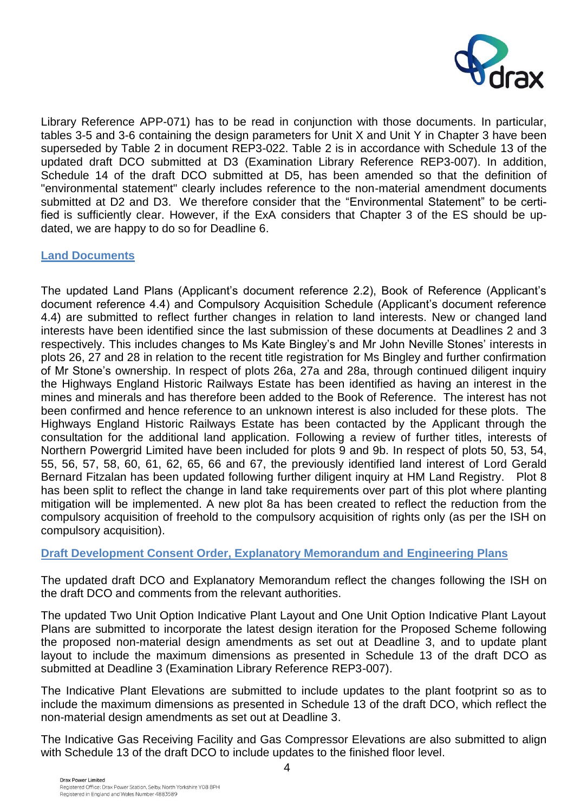

Library Reference APP-071) has to be read in conjunction with those documents. In particular, tables 3-5 and 3-6 containing the design parameters for Unit X and Unit Y in Chapter 3 have been superseded by Table 2 in document REP3-022. Table 2 is in accordance with Schedule 13 of the updated draft DCO submitted at D3 (Examination Library Reference REP3-007). In addition, Schedule 14 of the draft DCO submitted at D5, has been amended so that the definition of "environmental statement" clearly includes reference to the non-material amendment documents submitted at D2 and D3. We therefore consider that the "Environmental Statement" to be certified is sufficiently clear. However, if the ExA considers that Chapter 3 of the ES should be updated, we are happy to do so for Deadline 6.

### **Land Documents**

The updated Land Plans (Applicant's document reference 2.2), Book of Reference (Applicant's document reference 4.4) and Compulsory Acquisition Schedule (Applicant's document reference 4.4) are submitted to reflect further changes in relation to land interests. New or changed land interests have been identified since the last submission of these documents at Deadlines 2 and 3 respectively. This includes changes to Ms Kate Bingley's and Mr John Neville Stones' interests in plots 26, 27 and 28 in relation to the recent title registration for Ms Bingley and further confirmation of Mr Stone's ownership. In respect of plots 26a, 27a and 28a, through continued diligent inquiry the Highways England Historic Railways Estate has been identified as having an interest in the mines and minerals and has therefore been added to the Book of Reference. The interest has not been confirmed and hence reference to an unknown interest is also included for these plots. The Highways England Historic Railways Estate has been contacted by the Applicant through the consultation for the additional land application. Following a review of further titles, interests of Northern Powergrid Limited have been included for plots 9 and 9b. In respect of plots 50, 53, 54, 55, 56, 57, 58, 60, 61, 62, 65, 66 and 67, the previously identified land interest of Lord Gerald Bernard Fitzalan has been updated following further diligent inquiry at HM Land Registry. Plot 8 has been split to reflect the change in land take requirements over part of this plot where planting mitigation will be implemented. A new plot 8a has been created to reflect the reduction from the compulsory acquisition of freehold to the compulsory acquisition of rights only (as per the ISH on compulsory acquisition).

# **Draft Development Consent Order, Explanatory Memorandum and Engineering Plans**

The updated draft DCO and Explanatory Memorandum reflect the changes following the ISH on the draft DCO and comments from the relevant authorities.

The updated Two Unit Option Indicative Plant Layout and One Unit Option Indicative Plant Layout Plans are submitted to incorporate the latest design iteration for the Proposed Scheme following the proposed non-material design amendments as set out at Deadline 3, and to update plant layout to include the maximum dimensions as presented in Schedule 13 of the draft DCO as submitted at Deadline 3 (Examination Library Reference REP3-007).

The Indicative Plant Elevations are submitted to include updates to the plant footprint so as to include the maximum dimensions as presented in Schedule 13 of the draft DCO, which reflect the non-material design amendments as set out at Deadline 3.

The Indicative Gas Receiving Facility and Gas Compressor Elevations are also submitted to align with Schedule 13 of the draft DCO to include updates to the finished floor level.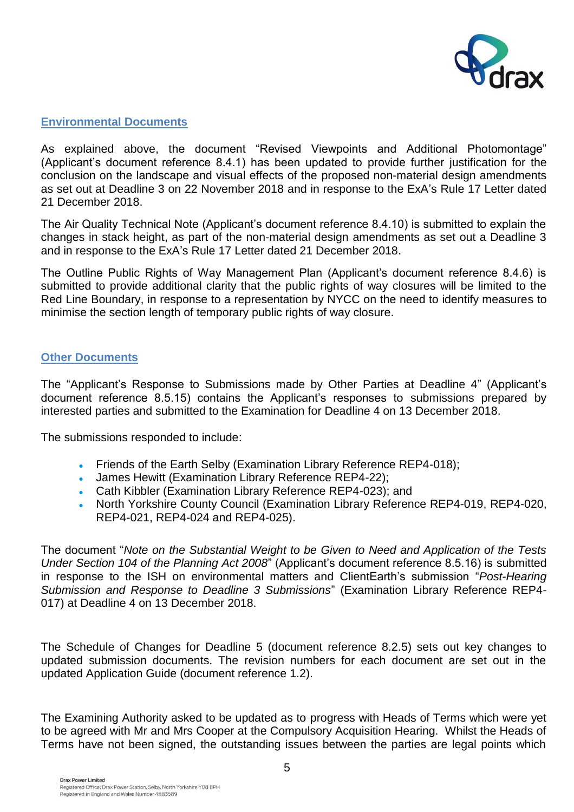

# **Environmental Documents**

As explained above, the document "Revised Viewpoints and Additional Photomontage" (Applicant's document reference 8.4.1) has been updated to provide further justification for the conclusion on the landscape and visual effects of the proposed non-material design amendments as set out at Deadline 3 on 22 November 2018 and in response to the ExA's Rule 17 Letter dated 21 December 2018.

The Air Quality Technical Note (Applicant's document reference 8.4.10) is submitted to explain the changes in stack height, as part of the non-material design amendments as set out a Deadline 3 and in response to the ExA's Rule 17 Letter dated 21 December 2018.

The Outline Public Rights of Way Management Plan (Applicant's document reference 8.4.6) is submitted to provide additional clarity that the public rights of way closures will be limited to the Red Line Boundary, in response to a representation by NYCC on the need to identify measures to minimise the section length of temporary public rights of way closure.

### **Other Documents**

The "Applicant's Response to Submissions made by Other Parties at Deadline 4" (Applicant's document reference 8.5.15) contains the Applicant's responses to submissions prepared by interested parties and submitted to the Examination for Deadline 4 on 13 December 2018.

The submissions responded to include:

- Friends of the Earth Selby (Examination Library Reference REP4-018);
- James Hewitt (Examination Library Reference REP4-22);
- Cath Kibbler (Examination Library Reference REP4-023); and
- North Yorkshire County Council (Examination Library Reference REP4-019, REP4-020, REP4-021, REP4-024 and REP4-025).

The document "*Note on the Substantial Weight to be Given to Need and Application of the Tests Under Section 104 of the Planning Act 2008*" (Applicant's document reference 8.5.16) is submitted in response to the ISH on environmental matters and ClientEarth's submission "*Post-Hearing Submission and Response to Deadline 3 Submissions*" (Examination Library Reference REP4- 017) at Deadline 4 on 13 December 2018.

The Schedule of Changes for Deadline 5 (document reference 8.2.5) sets out key changes to updated submission documents. The revision numbers for each document are set out in the updated Application Guide (document reference 1.2).

The Examining Authority asked to be updated as to progress with Heads of Terms which were yet to be agreed with Mr and Mrs Cooper at the Compulsory Acquisition Hearing. Whilst the Heads of Terms have not been signed, the outstanding issues between the parties are legal points which